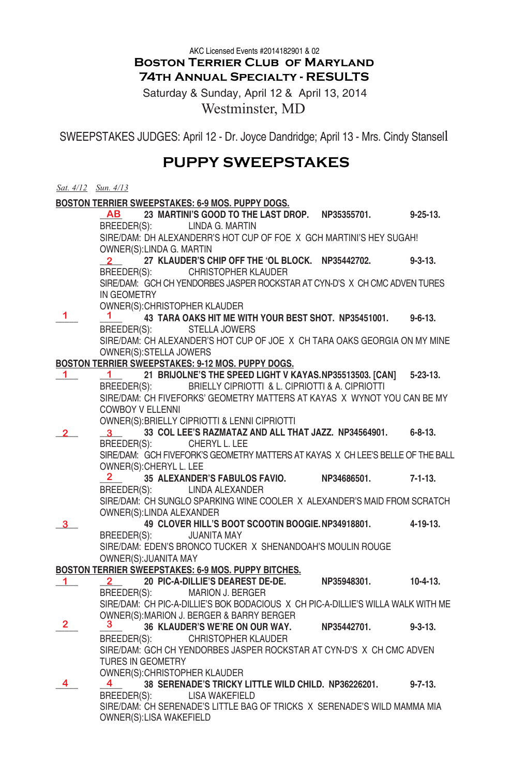**Boston Terrier Club of Maryland 74th Annual Specialty - RESULTS**  AKC Licensed Events #2014182901 & 02

Saturday & Sunday, April 12 & April 13, 2014 Westminster, MD

SWEEPSTAKES JUDGES: April 12 - Dr. Joyce Dandridge; April 13 - Mrs. Cindy Stansell

# **PUPPY SWEEPSTAKES**

|    | Sat. 4/12 Sun. 4/13                                           |  |                                               |  |                                                                                  |                 |
|----|---------------------------------------------------------------|--|-----------------------------------------------|--|----------------------------------------------------------------------------------|-----------------|
|    | BOSTON TERRIER SWEEPSTAKES: 6-9 MOS. PUPPY DOGS.              |  |                                               |  |                                                                                  |                 |
|    |                                                               |  |                                               |  | AB 23 MARTINI'S GOOD TO THE LAST DROP. NP35355701.                               | $9 - 25 - 13$ . |
|    |                                                               |  | BREEDER(S): LINDA G. MARTIN                   |  |                                                                                  |                 |
|    |                                                               |  |                                               |  | SIRE/DAM: DH ALEXANDERR'S HOT CUP OF FOE X GCH MARTINI'S HEY SUGAH!              |                 |
|    | OWNER(S): LINDA G. MARTIN                                     |  |                                               |  |                                                                                  |                 |
|    | $\mathbf{2}$ and $\mathbf{2}$                                 |  |                                               |  | 27 KLAUDER'S CHIP OFF THE 'OL BLOCK. NP35442702.                                 | $9 - 3 - 13$ .  |
|    |                                                               |  | BREEDER(S): CHRISTOPHER KLAUDER               |  |                                                                                  |                 |
|    |                                                               |  |                                               |  | SIRE/DAM: GCH CH YENDORBES JASPER ROCKSTAR AT CYN-D'S X CH CMC ADVEN TURES       |                 |
|    | IN GEOMETRY                                                   |  |                                               |  |                                                                                  |                 |
| 1. |                                                               |  | OWNER(S): CHRISTOPHER KLAUDER                 |  |                                                                                  |                 |
|    | $\mathbf 1$                                                   |  |                                               |  | 43 TARA OAKS HIT ME WITH YOUR BEST SHOT. NP35451001.                             | $9 - 6 - 13$ .  |
|    |                                                               |  | BREEDER(S): STELLA JOWERS                     |  |                                                                                  |                 |
|    |                                                               |  |                                               |  | SIRE/DAM: CH ALEXANDER'S HOT CUP OF JOE X CH TARA OAKS GEORGIA ON MY MINE        |                 |
|    | OWNER(S): STELLA JOWERS                                       |  |                                               |  |                                                                                  |                 |
| 1. | BOSTON TERRIER SWEEPSTAKES: 9-12 MOS. PUPPY DOGS.<br>1 $\sim$ |  |                                               |  | 21 BRIJOLNE'S THE SPEED LIGHT V KAYAS.NP35513503. [CAN]                          | $5 - 23 - 13$ . |
|    |                                                               |  |                                               |  | BREEDER(S): BRIELLY CIPRIOTTI & L. CIPRIOTTI & A. CIPRIOTTI                      |                 |
|    |                                                               |  |                                               |  | SIRE/DAM: CH FIVEFORKS' GEOMETRY MATTERS AT KAYAS X WYNOT YOU CAN BE MY          |                 |
|    | <b>COWBOY V ELLENNI</b>                                       |  |                                               |  |                                                                                  |                 |
|    |                                                               |  | OWNER(S): BRIELLY CIPRIOTTI & LENNI CIPRIOTTI |  |                                                                                  |                 |
|    | $\mathbf{3}$ and $\mathbf{3}$                                 |  |                                               |  | 33 COL LEE'S RAZMATAZ AND ALL THAT JAZZ. NP34564901. 6-8-13.                     |                 |
|    |                                                               |  | BREEDER(S): CHERYL L. LEE                     |  |                                                                                  |                 |
|    |                                                               |  |                                               |  | SIRE/DAM: GCH FIVEFORK'S GEOMETRY MATTERS AT KAYAS X CH LEE'S BELLE OF THE BALL  |                 |
|    | OWNER(S): CHERYL L. LEE                                       |  |                                               |  |                                                                                  |                 |
|    | $\mathbf{2}$ and $\mathbf{2}$                                 |  | 35 ALEXANDER'S FABULOS FAVIO.                 |  | NP34686501.                                                                      | 7-1-13.         |
|    |                                                               |  | BREEDER(S): LINDA ALEXANDER                   |  |                                                                                  |                 |
|    |                                                               |  |                                               |  | SIRE/DAM: CH SUNGLO SPARKING WINE COOLER X ALEXANDER'S MAID FROM SCRATCH         |                 |
|    | OWNER(S): LINDA ALEXANDER                                     |  |                                               |  |                                                                                  |                 |
| 3. |                                                               |  |                                               |  | 49 CLOVER HILL'S BOOT SCOOTIN BOOGIE. NP34918801.                                | 4-19-13.        |
|    | BREEDER(S):                                                   |  | <b>JUANITA MAY</b>                            |  |                                                                                  |                 |
|    |                                                               |  |                                               |  | SIRE/DAM: EDEN'S BRONCO TUCKER X SHENANDOAH'S MOULIN ROUGE                       |                 |
|    | OWNER(S): JUANITA MAY                                         |  |                                               |  |                                                                                  |                 |
|    | BOSTON TERRIER SWEEPSTAKES: 6-9 MOS. PUPPY BITCHES.           |  |                                               |  |                                                                                  |                 |
| 1. | $2-$                                                          |  | BREEDER(S): MARION J. BERGER                  |  | 20 PIC-A-DILLIE'S DEAREST DE-DE. NP35948301.                                     | $10-4-13.$      |
|    |                                                               |  |                                               |  | SIRE/DAM: CH PIC-A-DILLIE'S BOK BODACIOUS X CH PIC-A-DILLIE'S WILLA WALK WITH ME |                 |
|    |                                                               |  | OWNER(S): MARION J. BERGER & BARRY BERGER     |  |                                                                                  |                 |
| 2  |                                                               |  |                                               |  | 36 KLAUDER'S WE'RE ON OUR WAY. NP35442701.                                       | $9 - 3 - 13$ .  |
|    | BREEDER(S):                                                   |  | <b>CHRISTOPHER KLAUDER</b>                    |  |                                                                                  |                 |
|    |                                                               |  |                                               |  | SIRE/DAM: GCH CH YENDORBES JASPER ROCKSTAR AT CYN-D'S X CH CMC ADVEN             |                 |
|    | <b>TURES IN GEOMETRY</b>                                      |  |                                               |  |                                                                                  |                 |
|    |                                                               |  | OWNER(S): CHRISTOPHER KLAUDER                 |  |                                                                                  |                 |
| 4  | $4 \quad$                                                     |  |                                               |  | 38 SERENADE'S TRICKY LITTLE WILD CHILD. NP36226201.                              | $9 - 7 - 13$ .  |
|    |                                                               |  | BREEDER(S): LISA WAKEFIELD                    |  |                                                                                  |                 |
|    |                                                               |  |                                               |  | SIRE/DAM: CH SERENADE'S LITTLE BAG OF TRICKS X SERENADE'S WILD MAMMA MIA         |                 |
|    | OWNER(S):LISA WAKEFIELD                                       |  |                                               |  |                                                                                  |                 |
|    |                                                               |  |                                               |  |                                                                                  |                 |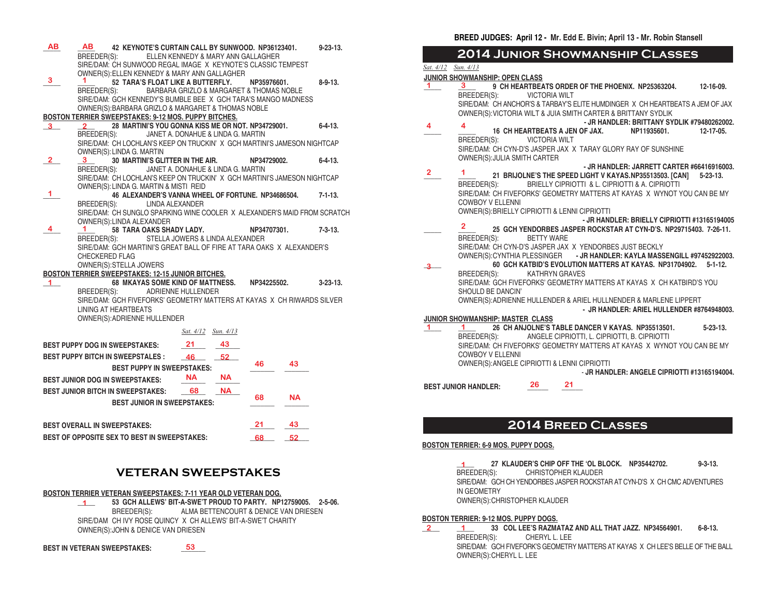| <b>AB</b><br>3 | ΑВ<br>42 KEYNOTE'S CURTAIN CALL BY SUNWOOD. NP36123401.<br>BREEDER(S):<br>SIRE/DAM: CH SUNWOOD REGAL IMAGE X KEYNOTE'S CLASSIC TEMPEST<br>OWNER(S): ELLEN KENNEDY & MARY ANN GALLAGHER<br>52 TARA'S FLOAT LIKE A BUTTERFLY.<br>BREEDER(S):<br>SIRE/DAM: GCH KENNEDY'S BUMBLE BEE X GCH TARA'S MANGO MADNESS | ELLEN KENNEDY & MARY ANN GALLAGHER<br>BARBARA GRIZLO & MARGARET & THOMAS NOBLE | NP35976601. | $9 - 23 - 13$ .<br>$8 - 9 - 13$ . |  |
|----------------|-------------------------------------------------------------------------------------------------------------------------------------------------------------------------------------------------------------------------------------------------------------------------------------------------------------|--------------------------------------------------------------------------------|-------------|-----------------------------------|--|
|                | OWNER(S): BARBARA GRIZLO & MARGARET & THOMAS NOBLE                                                                                                                                                                                                                                                          |                                                                                |             |                                   |  |
|                | <b>BOSTON TERRIER SWEEPSTAKES: 9-12 MOS. PUPPY BITCHES.</b>                                                                                                                                                                                                                                                 |                                                                                |             |                                   |  |
| $3^{\circ}$    | 28 MARTINI'S YOU GONNA KISS ME OR NOT. NP34729001.                                                                                                                                                                                                                                                          |                                                                                |             | $6 - 4 - 13$ .                    |  |
|                | BREEDER(S):                                                                                                                                                                                                                                                                                                 | JANET A. DONAHUE & LINDA G. MARTIN                                             |             |                                   |  |
|                | SIRE/DAM: CH LOCHLAN'S KEEP ON TRUCKIN' X GCH MARTINI'S JAMESON NIGHTCAP<br>OWNER(S): LINDA G. MARTIN                                                                                                                                                                                                       |                                                                                |             |                                   |  |
| $\mathbf{2}$   | <b>30 MARTINI'S GLITTER IN THE AIR.</b>                                                                                                                                                                                                                                                                     |                                                                                | NP34729002. | 6-4-13.                           |  |
|                | BREEDER(S):                                                                                                                                                                                                                                                                                                 | JANET A. DONAHUE & LINDA G. MARTIN                                             |             |                                   |  |
|                | SIRE/DAM: CH LOCHLAN'S KEEP ON TRUCKIN' X GCH MARTINI'S JAMESON NIGHTCAP                                                                                                                                                                                                                                    |                                                                                |             |                                   |  |
|                | OWNER(S): LINDA G. MARTIN & MISTI REID                                                                                                                                                                                                                                                                      |                                                                                |             |                                   |  |
| 1              | 46 ALEXANDER'S VANNA WHEEL OF FORTUNE. NP34686504.                                                                                                                                                                                                                                                          |                                                                                |             | $7 - 1 - 13$ .                    |  |
|                | LINDA ALEXANDER<br>BREEDER(S):                                                                                                                                                                                                                                                                              |                                                                                |             |                                   |  |
|                | SIRE/DAM: CH SUNGLO SPARKING WINE COOLER X ALEXANDER'S MAID FROM SCRATCH                                                                                                                                                                                                                                    |                                                                                |             |                                   |  |
|                | OWNER(S):LINDA ALEXANDER                                                                                                                                                                                                                                                                                    |                                                                                |             |                                   |  |
| 4              | 58 TARA OAKS SHADY LADY.<br>1.                                                                                                                                                                                                                                                                              |                                                                                | NP34707301. | $7 - 3 - 13$ .                    |  |
|                | BREEDER(S):                                                                                                                                                                                                                                                                                                 | STELLA JOWERS & LINDA ALEXANDER                                                |             |                                   |  |
|                | SIRE/DAM: GCH MARTINI'S GREAT BALL OF FIRE AT TARA OAKS X ALEXANDER'S                                                                                                                                                                                                                                       |                                                                                |             |                                   |  |
|                | <b>CHECKERED FLAG</b>                                                                                                                                                                                                                                                                                       |                                                                                |             |                                   |  |
|                | OWNER(S): STELLA JOWERS                                                                                                                                                                                                                                                                                     |                                                                                |             |                                   |  |
|                | BOSTON TERRIER SWEEPSTAKES: 12-15 JUNIOR BITCHES.<br>68 MKAYAS SOME KIND OF MATTNESS.                                                                                                                                                                                                                       |                                                                                | NP34225502. | $3 - 23 - 13$ .                   |  |
| 1              | BREEDER(S): ADRIENNE HULLENDER                                                                                                                                                                                                                                                                              |                                                                                |             |                                   |  |
|                | SIRE/DAM: GCH FIVEFORKS' GEOMETRY MATTERS AT KAYAS X CH RIWARDS SILVER                                                                                                                                                                                                                                      |                                                                                |             |                                   |  |
|                | <b>LINING AT HEARTBEATS</b>                                                                                                                                                                                                                                                                                 |                                                                                |             |                                   |  |
|                | OWNER(S): ADRIENNE HULLENDER                                                                                                                                                                                                                                                                                |                                                                                |             |                                   |  |
|                |                                                                                                                                                                                                                                                                                                             |                                                                                |             |                                   |  |
|                |                                                                                                                                                                                                                                                                                                             | Sat. 4/12 Sun. 4/13                                                            |             |                                   |  |
|                | <b>BEST PUPPY DOG IN SWEEPSTAKES:</b>                                                                                                                                                                                                                                                                       | - 21<br>43                                                                     |             |                                   |  |
|                | <b>BEST PUPPY BITCH IN SWEEPSTALES:</b>                                                                                                                                                                                                                                                                     | 52<br>46                                                                       |             |                                   |  |
|                | <b>BEST PUPPY IN SWEEPSTAKES:</b>                                                                                                                                                                                                                                                                           |                                                                                | 46          | 43                                |  |
|                | <b>BEST JUNIOR DOG IN SWEEPSTAKES:</b>                                                                                                                                                                                                                                                                      | <b>NA</b><br><b>NA</b>                                                         |             |                                   |  |
|                | <b>BEST JUNIOR BITCH IN SWEEPSTAKES:</b>                                                                                                                                                                                                                                                                    | <b>NA</b><br>68                                                                |             |                                   |  |
|                |                                                                                                                                                                                                                                                                                                             |                                                                                | 68          | <b>NA</b>                         |  |
|                | <b>BEST JUNIOR IN SWEEPSTAKES:</b>                                                                                                                                                                                                                                                                          |                                                                                |             |                                   |  |
|                |                                                                                                                                                                                                                                                                                                             |                                                                                |             |                                   |  |
|                | <b>BEST OVERALL IN SWEEPSTAKES:</b>                                                                                                                                                                                                                                                                         |                                                                                | 21          | 43                                |  |
|                | <b>BEST OF OPPOSITE SEX TO BEST IN SWEEPSTAKES:</b>                                                                                                                                                                                                                                                         |                                                                                | 68          | 52                                |  |

# **VETERAN SWEEPSTAKES**

**BOSTON TERRIER VETERAN SWEEPSTAKES: 7-11 YEAR OLD VETERAN DOG.**

**\_\_\_\_\_ 53 GCH ALLEWS' BIT-A-SWE'T PROUD TO PARTY. NP12759005. 2-5-06.** BREEDER(S): ALMA BETTENCOURT & DENICE VAN DRIESEN SIRE/DAM CH IVY ROSE QUINCY X CH ALLEWS' BIT-A-SWE'T CHARITY OWNER(S):JOHN & DENICE VAN DRIESEN **1**

**BEST IN VETERAN SWEEPSTAKES: \_\_\_\_\_\_\_ 53** **BREED JUDGES: April 12 - Mr. Edd E. Bivin; April 13 - Mr. Robin Stansell**

# **2014 Junior Showmanship Classes**

*Sat. 4/12 Sun. 4/13*

## **JUNIOR SHOWMANSHIP: OPEN CLASS**

|                | JUNIOR SHOWMANSHIP: OPEN CLASS                |                      |                       |                                                                               |                 |
|----------------|-----------------------------------------------|----------------------|-----------------------|-------------------------------------------------------------------------------|-----------------|
| 1.             | 3                                             |                      |                       | 9 CH HEARTBEATS ORDER OF THE PHOENIX. NP25363204.                             | 12-16-09.       |
|                | BREEDER(S):                                   | <b>VICTORIA WILT</b> |                       |                                                                               |                 |
|                |                                               |                      |                       | SIRE/DAM: CH ANCHOR'S & TARBAY'S ELITE HUMDINGER X CH HEARTBEATS A JEM OF JAX |                 |
|                |                                               |                      |                       | OWNER(S): VICTORIA WILT & JUIA SMITH CARTER & BRITTANY SYDLIK                 |                 |
| 4              | 4                                             |                      |                       | - JR HANDLER: BRITTANY SYDLIK #79480262002.                                   |                 |
|                |                                               |                      |                       | 16 CH HEARTBEATS A JEN OF JAX. NP11935601.                                    | 12-17-05.       |
|                | BREEDER(S): VICTORIA WILT                     |                      |                       |                                                                               |                 |
|                |                                               |                      |                       | SIRE/DAM: CH CYN-D'S JASPER JAX X TARAY GLORY RAY OF SUNSHINE                 |                 |
|                | OWNER(S): JULIA SMITH CARTER                  |                      |                       |                                                                               |                 |
|                |                                               |                      |                       | - JR HANDLER: JARRETT CARTER #66416916003.                                    |                 |
| $\overline{2}$ | 1                                             |                      |                       | 21 BRIJOLNE'S THE SPEED LIGHT V KAYAS.NP35513503. [CAN]                       | $5 - 23 - 13$ . |
|                | BREEDER(S):                                   |                      |                       | BRIELLY CIPRIOTTI & L. CIPRIOTTI & A. CIPRIOTTI                               |                 |
|                |                                               |                      |                       | SIRE/DAM: CH FIVEFORKS' GEOMETRY MATTERS AT KAYAS X WYNOT YOU CAN BE MY       |                 |
|                | <b>COWBOY V ELLENNI</b>                       |                      |                       |                                                                               |                 |
|                | OWNER(S): BRIELLY CIPRIOTTI & LENNI CIPRIOTTI |                      |                       |                                                                               |                 |
|                |                                               |                      |                       | - JR HANDLER: BRIELLY CIPRIOTTI #13165194005                                  |                 |
|                | $\overline{2}$                                |                      |                       | 25 GCH YENDORBES JASPER ROCKSTAR AT CYN-D'S, NP29715403, 7-26-11.             |                 |
|                | BREEDER(S):                                   | <b>BETTY WARE</b>    |                       |                                                                               |                 |
|                |                                               |                      |                       | SIRE/DAM: CH CYN-D'S JASPER JAX X YENDORBES JUST BECKLY                       |                 |
|                |                                               |                      |                       | OWNER(S): CYNTHIA PLESSINGER - JR HANDLER: KAYLA MASSENGILL #97452922003.     |                 |
|                |                                               |                      |                       | 60 GCH KATBID'S EVOLUTION MATTERS AT KAYAS. NP31704902.                       | $5 - 1 - 12$ .  |
|                | BREEDER(S):                                   |                      | <b>KATHRYN GRAVES</b> |                                                                               |                 |
|                |                                               |                      |                       | SIRE/DAM: GCH FIVEFORKS' GEOMETRY MATTERS AT KAYAS X CH KATBIRD'S YOU         |                 |
|                | SHOULD BE DANCIN'                             |                      |                       |                                                                               |                 |
|                |                                               |                      |                       | OWNER(S): ADRIENNE HULLENDER & ARIEL HULLNENDER & MARLENE LIPPERT             |                 |
|                |                                               |                      |                       | - JR HANDLER: ARIEL HULLENDER #8764948003.                                    |                 |
|                | JUNIOR SHOWMANSHIP, MASTER CLASS              |                      |                       |                                                                               |                 |
| $\mathbf{1}$   |                                               |                      |                       | 26 CH ANJOLNE'S TABLE DANCER V KAYAS. NP35513501.                             | $5 - 23 - 13$ . |
|                | BREEDER(S):                                   |                      |                       | ANGELE CIPRIOTTI, L. CIPRIOTTI, B. CIPRIOTTI                                  |                 |
|                |                                               |                      |                       | SIRE/DAM: CH FIVEFORKS' GEOMETRY MATTERS AT KAYAS X WYNOT YOU CAN BE MY       |                 |
|                | <b>COWBOY V ELLENNI</b>                       |                      |                       |                                                                               |                 |
|                | OWNER(S): ANGELE CIPRIOTTI & LENNI CIPRIOTTI  |                      |                       |                                                                               |                 |
|                |                                               |                      |                       | - JR HANDLER: ANGELE CIPRIOTTI #13165194004.                                  |                 |
|                | <b>BEST JUNIOR HANDLER:</b>                   | 26                   | 21                    |                                                                               |                 |
|                |                                               |                      |                       |                                                                               |                 |

# **2014 Breed Classes**

### **BOSTON TERRIER: 6-9 MOS. PUPPY DOGS.**

**\_\_\_\_\_ 27 KLAUDER'S CHIP OFF THE 'OL BLOCK. NP35442702. 9-3-13.** CHRISTOPHER KLAUDER SIRE/DAM: GCH CH YENDORBES JASPER ROCKSTAR AT CYN-D'S X CH CMC ADVENTURES IN GEOMETRY **1**

OWNER(S):CHRISTOPHER KLAUDER

### **BOSTON TERRIER: 9-12 MOS. PUPPY DOGS.**

**\_\_\_\_\_ \_\_\_\_\_ 33 COL LEE'S RAZMATAZ AND ALL THAT JAZZ. NP34564901. 6-8-13. 2 1**BREEDER(S): CHERYL L. LEE SIRE/DAM: GCH FIVEFORK'S GEOMETRY MATTERS AT KAYAS X CH LEE'S BELLE OF THE BALL OWNER(S):CHERYL L. LEE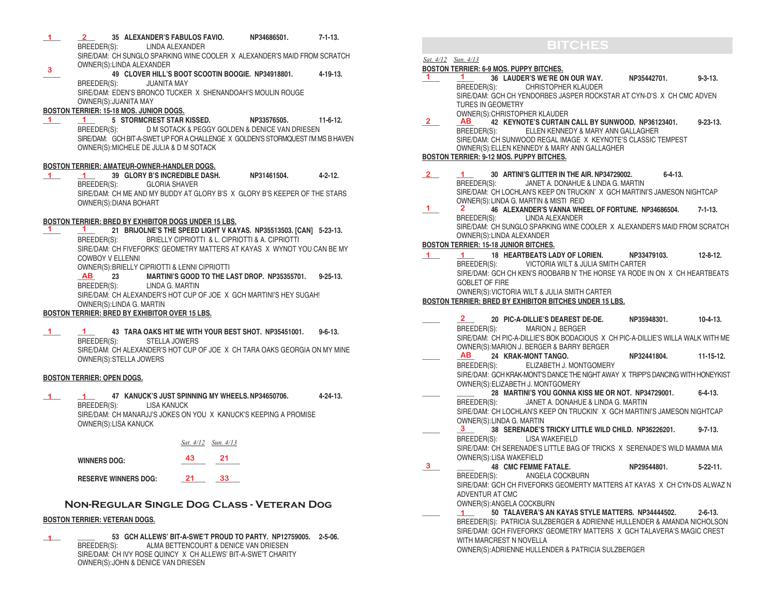- **\_\_\_\_\_ \_\_\_\_\_ 35 ALEXANDER'S FABULOS FAVIO. NP34686501. 7-1-13.** BREEDER(S): LINDA ALEXANDER SIRE/DAM: CH SUNGLO SPARKING WINE COOLER X ALEXANDER'S MAID FROM SCRATCH OWNER(S):LINDA ALEXANDER **1 2 3**
- **\_\_\_\_\_ 49 CLOVER HILL'S BOOT SCOOTIN BOOGIE. NP34918801. 4-19-13.** BREEDER(S): JUANITA MAY SIRE/DAM: EDEN'S BRONCO TUCKER X SHENANDOAH'S MOULIN ROUGE OWNER(S):JUANITA MAY

## **BOSTON TERRIER: 15-18 MOS. JUNIOR DOGS.**

**\_\_\_\_\_ \_\_\_\_\_ 5 STORMCREST STAR KISSED. NP33576505. 11-6-12.**  BREEDER(S): D M SOTACK & PEGGY GOLDEN & DENICE VAN DRIESEN SIRE/DAM: GCH BIT-A-SWET UP FOR A CHALLENGE X GOLDEN'S STORMQUEST I'M MS B HAVEN OWNER(S):MICHELE DE JULIA & D M SOTACK **1 1**

#### **BOSTON TERRIER: AMATEUR-OWNER-HANDLER DOGS.**

**\_\_\_\_\_ \_\_\_\_\_ 39 GLORY B'S INCREDIBLE DASH. NP31461504. 4-2-12.**  BREEDER(S): GLORIA SHAVER SIRE/DAM: CH ME AND MY BUDDY AT GLORY B'S X GLORY B'S KEEPER OF THE STARS OWNER(S):DIANA BOHART **1 1**

#### **BOSTON TERRIER: BRED BY EXHIBITOR DOGS UNDER 15 LBS.**

**\_\_\_\_\_ \_\_\_\_\_ 21 BRIJOLNE'S THE SPEED LIGHT V KAYAS. NP35513503. [CAN] 5-23-13.** BREEDER(S): BRIELLY CIPRIOTTI & L. CIPRIOTTI & A. CIPRIOTTI SIRE/DAM: CH FIVEFORKS' GEOMETRY MATTERS AT KAYAS X WYNOT YOU CAN BE MY COWBOY V ELLENNI **1 1**

OWNER(S):BRIELLY CIPRIOTTI & LENNI CIPRIOTTI

**\_\_\_\_\_ 23 MARTINI'S GOOD TO THE LAST DROP. NP35355701. 9-25-13.** LINDA G. MARTIN SIRE/DAM: CH ALEXANDER'S HOT CUP OF JOE X GCH MARTINI'S HEY SUGAH! OWNER(S):LINDA G. MARTIN **AB**

### **BOSTON TERRIER: BRED BY EXHIBITOR OVER 15 LBS.**

**\_\_\_\_\_ \_\_\_\_\_ 43 TARA OAKS HIT ME WITH YOUR BEST SHOT. NP35451001. 9-6-13.** STELLA JOWERS SIRE/DAM: CH ALEXANDER'S HOT CUP OF JOE X CH TARA OAKS GEORGIA ON MY MINE OWNER(S):STELLA JOWERS **1 1**

### **BOSTON TERRIER: OPEN DOGS.**

**\_\_\_\_\_ \_\_\_\_\_ 47 KANUCK'S JUST SPINNING MY WHEELS.NP34650706. 4-24-13.** BREEDER(S): LISA KANUCK SIRE/DAM: CH MANARJJ'S JOKES ON YOU X KANUCK'S KEEPING A PROMISE OWNER(S):LISA KANUCK **1 1**

|                             |    | Sat. 4/12 Sun. 4/13 |  |
|-----------------------------|----|---------------------|--|
| <b>WINNERS DOG:</b>         | 43 | 21                  |  |
| <b>RESERVE WINNERS DOG:</b> | 21 | 33                  |  |

## **Non-Regular Single Dog Class - Veteran Dog**

### **BOSTON TERRIER: VETERAN DOGS.**

**\_\_\_\_\_ \_\_\_\_\_ 53 GCH ALLEWS' BIT-A-SWE'T PROUD TO PARTY. NP12759005. 2-5-06.** ALMA BETTENCOURT & DENICE VAN DRIESEN SIRE/DAM: CH IVY ROSE QUINCY X CH ALLEWS' BIT-A-SWE'T CHARITY OWNER(S):JOHN & DENICE VAN DRIESEN **1**

# **BITCHES**

### *Sat. 4/12 Sun. 4/13*

## **BOSTON TERRIER: 6-9 MOS. PUPPY BITCHES.**

- **\_\_\_\_\_ \_\_\_\_\_ 36 LAUDER'S WE'RE ON OUR WAY. NP35442701. 9-3-13.** BREEDER(S): CHRISTOPHER KLAUDER SIRE/DAM: GCH CH YENDORBES JASPER ROCKSTAR AT CYN-D'S X CH CMC ADVEN TURES IN GEOMETRY OWNER(S):CHRISTOPHER KLAUDER<br>AB 42 KEYNOTE'S CURTAIN **1 1**
- **AB**  $\overline{AB}$  **42 KEYNOTE'S CURTAIN CALL BY SUNWOOD. NP36123401.** 9-23-13. **BREEDER(S):** ELLEN KENNEDY & MARY ANN GALLAGHER ELLEN KENNEDY & MARY ANN GALLAGHER SIRE/DAM: CH SUNWOOD REGAL IMAGE X KEYNOTE'S CLASSIC TEMPEST OWNER(S):ELLEN KENNEDY & MARY ANN GALLAGHER **BOSTON TERRIER: 9-12 MOS. PUPPY BITCHES.**  $2 \quad$
- **\_\_\_\_\_ \_\_\_\_\_ 30 ARTINI'S GLITTER IN THE AIR. NP34729002. 6-4-13.** JANET A. DONAHUE & LINDA G. MARTIN SIRE/DAM: CH LOCHLAN'S KEEP ON TRUCKIN' X GCH MARTINI'S JAMESON NIGHTCAP OWNER(S): LINDA G. MARTIN & MISTI REID **2 1**
- **2**  $\angle$  **46 ALEXANDER'S VANNA WHEEL OF FORTUNE. NP34686504.** 7-1-13.<br>BREEDER(S): LINDA ALEXANDER LINDA ALEXANDER SIRE/DAM: CH SUNGLO SPARKING WINE COOLER X ALEXANDER'S MAID FROM SCRATCH OWNER(S):LINDA ALEXANDER  $1<sup>2</sup>$

## **BOSTON TERRIER: 15-18 JUNIOR BITCHES.**

**\_\_\_\_\_ \_\_\_\_\_ 18 HEARTBEATS LADY OF LORIEN. NP33479103. 12-8-12.**  BREEDER(S): VICTORIA WILT & JULIA SMITH CARTER SIRE/DAM: GCH CH KEN'S ROOBARB N' THE HORSE YA RODE IN ON X CH HEARTBEATS GOBLET OF FIRE OWNER(S):VICTORIA WILT & JULIA SMITH CARTER **1 1**

## **BOSTON TERRIER: BRED BY EXHIBITOR BITCHES UNDER 15 LBS.**

- **\_\_\_\_\_ \_\_\_\_\_ 20 PIC-A-DILLIE'S DEAREST DE-DE. NP35948301. 10-4-13.** BREEDER(S): MARION J. BERGER SIRE/DAM: CH PIC-A-DILLIE'S BOK BODACIOUS X CH PIC-A-DILLIE'S WILLA WALK WITH ME OWNER(S):MARION J. BERGER & BARRY BERGER **\_\_\_\_\_ \_\_\_\_\_ 24 KRAK-MONT TANGO. NP32441804. 11-15-12.**  BREEDER(S): ELIZABETH J. MONTGOMERY SIRE/DAM: GCH KRAK-MONT'S DANCE THE NIGHT AWAY X TRIPP'S DANCING WITH HONEYKIST OWNER(S):ELIZABETH J. MONTGOMERY **\_\_\_\_\_ \_\_\_\_\_ 28 MARTINI'S YOU GONNA KISS ME OR NOT. NP34729001. 6-4-13.** BREEDER(S): JANET A. DONAHUE & LINDA G. MARTIN SIRE/DAM: CH LOCHLAN'S KEEP ON TRUCKIN' X GCH MARTINI'S JAMESON NIGHTCAP OWNER(S):LINDA G. MARTIN **\_\_\_\_\_ \_\_\_\_\_ 38 SERENADE'S TRICKY LITTLE WILD CHILD. NP36226201. 9-7-13.** BREEDER(S): LISA WAKEFIELD SIRE/DAM: CH SERENADE'S LITTLE BAG OF TRICKS X SERENADE'S WILD MAMMA MIA OWNER(S):LISA WAKEFIELD **\_\_\_\_\_ \_\_\_\_\_ 48 CMC FEMME FATALE. NP29544801. 5-22-11.**  BREEDER(S): ANGELA COCKBURN SIRE/DAM: GCH CH FIVEFORKS GEOMERTY MATTERS AT KAYAS X CH CYN-DS ALWAZ N ADVENTUR AT CMC OWNER(S):ANGELA COCKBURN **\_\_\_\_\_ \_\_\_\_\_ 50 TALAVERA'S AN KAYAS STYLE MATTERS. NP34444502. 2-6-13.** BREEDER(S): PATRICIA SULZBERGER & ADRIENNE HULLENDER & AMANDA NICHOLSON SIRE/DAM: GCH FIVEFORKS' GEOMETRY MATTERS X GCH TALAVERA'S MAGIC CREST **2 AB 3 3 1** 
	- WITH MARCREST N NOVELLA
	- OWNER(S):ADRIENNE HULLENDER & PATRICIA SULZBERGER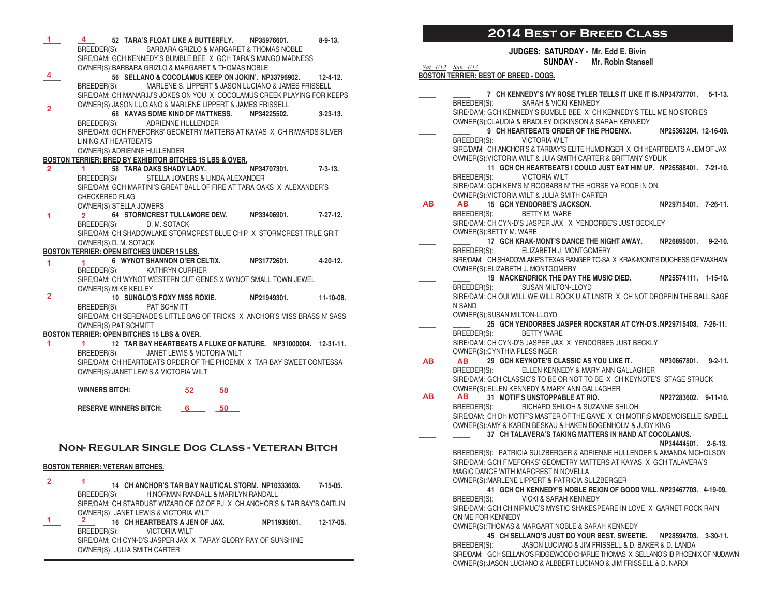| $1 -$                | 4 52 TARA'S FLOAT LIKE A BUTTERFLY. NP35976601.                                                                      |             | $8 - 9 - 13$ .  |
|----------------------|----------------------------------------------------------------------------------------------------------------------|-------------|-----------------|
|                      | BREEDER(S): BARBARA GRIZLO & MARGARET & THOMAS NOBLE                                                                 |             |                 |
|                      | SIRE/DAM: GCH KENNEDY'S BUMBLE BEE X GCH TARA'S MANGO MADNESS<br>OWNER(S): BARBARA GRIZLO & MARGARET & THOMAS NOBLE  |             |                 |
| 4                    | 56 SELLANO & COCOLAMUS KEEP ON JOKIN'. NP33796902. 12-4-12.                                                          |             |                 |
|                      | MARLENE S. LIPPERT & JASON LUCIANO & JAMES FRISSELL<br>BREEDER(S):                                                   |             |                 |
|                      | SIRE/DAM: CH MANARJJ'S JOKES ON YOU X COCOLAMUS CREEK PLAYING FOR KEEPS                                              |             |                 |
| $\overline{2}$       | OWNER(S): JASON LUCIANO & MARLENE LIPPERT & JAMES FRISSELL                                                           |             |                 |
|                      | 68 KAYAS SOME KIND OF MATTNESS.                                                                                      | NP34225502. | $3 - 23 - 13$ . |
|                      | BREEDER(S): ADRIENNE HULLENDER<br>SIRE/DAM: GCH FIVEFORKS' GEOMETRY MATTERS AT KAYAS X CH RIWARDS SILVER             |             |                 |
|                      | LINING AT HEARTBEATS                                                                                                 |             |                 |
|                      | OWNER(S): ADRIENNE HULLENDER                                                                                         |             |                 |
|                      | BOSTON TERRIER: BRED BY EXHIBITOR BITCHES 15 LBS & OVER.                                                             |             |                 |
| $2^{\circ}$          | 1 58 TARA OAKS SHADY LADY. NP34707301. 7-3-13.                                                                       |             |                 |
|                      | BREEDER(S): STELLA JOWERS & LINDA ALEXANDER<br>SIRE/DAM: GCH MARTINI'S GREAT BALL OF FIRE AT TARA OAKS X ALEXANDER'S |             |                 |
|                      | <b>CHECKERED FLAG</b>                                                                                                |             |                 |
|                      | OWNER(S): STELLA JOWERS                                                                                              |             |                 |
| $1 -$                | 2 64 STORMCREST TULLAMORE DEW. NP33406901. 7-27-12.                                                                  |             |                 |
|                      | BREEDER(S):<br>D. M. SOTACK                                                                                          |             |                 |
|                      | SIRE/DAM: CH SHADOWLAKE STORMCREST BLUE CHIP X STORMCREST TRUE GRIT<br>OWNER(S): D. M. SOTACK                        |             |                 |
|                      | <b>BOSTON TERRIER: OPEN BITCHES UNDER 15 LBS.</b>                                                                    |             |                 |
| $\perp$              | 4-20-12. 6 WYNOT SHANNON O'ER CELTIX. NP31772601. 4-20-12.                                                           |             |                 |
|                      | BREEDER(S): KATHRYN CURRIER                                                                                          |             |                 |
|                      | SIRE/DAM: CH WYNOT WESTERN CUT GENES X WYNOT SMALL TOWN JEWEL                                                        |             |                 |
|                      | OWNER(S): MIKE KELLEY                                                                                                |             |                 |
|                      |                                                                                                                      |             |                 |
| $\mathbf{2}^{\circ}$ | 10 SUNGLO'S FOXY MISS ROXIE. NP21949301.                                                                             |             | $11-10-08.$     |
|                      | BREEDER(S): PAT SCHMITT<br>SIRE/DAM: CH SERENADE'S LITTLE BAG OF TRICKS X ANCHOR'S MISS BRASS N' SASS                |             |                 |
|                      | OWNER(S): PAT SCHMITT                                                                                                |             |                 |
|                      | BOSTON TERRIER: OPEN BITCHES 15 LBS & OVER.                                                                          |             |                 |
| $\mathbf{1}$         | 1 12 TAR BAY HEARTBEATS A FLUKE OF NATURE. NP31000004. 12-31-11.                                                     |             |                 |
|                      | BREEDER(S): JANET LEWIS & VICTORIA WILT<br>SIRE/DAM: CH HEARTBEATS ORDER OF THE PHOENIX X TAR BAY SWEET CONTESSA     |             |                 |
|                      | OWNER(S): JANET LEWIS & VICTORIA WILT                                                                                |             |                 |
|                      |                                                                                                                      |             |                 |
|                      | <b>WINNERS BITCH:</b><br>$52 - 58$                                                                                   |             |                 |
|                      |                                                                                                                      |             |                 |
|                      | <b>RESERVE WINNERS BITCH:</b><br>$6 \qquad 50$                                                                       |             |                 |
|                      |                                                                                                                      |             |                 |
|                      |                                                                                                                      |             |                 |
|                      | NON- REGULAR SINGLE DOG CLASS - VETERAN BITCH                                                                        |             |                 |
|                      |                                                                                                                      |             |                 |
|                      | <b>BOSTON TERRIER: VETERAN BITCHES.</b>                                                                              |             |                 |
| $\mathbf{2}$         | 1.<br>14 CH ANCHOR'S TAR BAY NAUTICAL STORM. NP10333603.                                                             |             | 7-15-05.        |
|                      | H.NORMAN RANDALL & MARILYN RANDALL<br>BREEDER(S):                                                                    |             |                 |
|                      | SIRE/DAM: CH STARDUST WIZARD OF OZ OF RJ X CH ANCHOR'S & TAR BAY'S CAITLIN                                           |             |                 |
| 1.                   | OWNER(S): JANET LEWIS & VICTORIA WILT                                                                                |             |                 |
|                      | $\mathbf{z}$<br>16 CH HEARTBEATS A JEN OF JAX.                                                                       | NP11935601. | 12-17-05.       |
|                      | BREEDER(S):<br><b>VICTORIA WILT</b><br>SIRE/DAM: CH CYN-D'S JASPER JAX X TARAY GLORY RAY OF SUNSHINE                 |             |                 |

# **2014 Best of Breed Class**

 **JUDGES: SATURDAY - Mr. Edd E. Bivin SUNDAY - Mr. Robin Stansell**

*Sat. 4/12 Sun. 4/13* **BOSTON TERRIER: BEST OF BREED - DOGS.**

|     | 7 CH KENNEDY'S IVY ROSE TYLER TELLS IT LIKE IT IS. NP34737701. 5-1-13.                                                                                   |                      |  |
|-----|----------------------------------------------------------------------------------------------------------------------------------------------------------|----------------------|--|
|     | BREEDER(S):<br>SARAH & VICKI KENNEDY                                                                                                                     |                      |  |
|     | SIRE/DAM: GCH KENNEDY'S BUMBLE BEE X CH KENNEDY'S TELL ME NO STORIES                                                                                     |                      |  |
|     | OWNER(S): CLAUDIA & BRADLEY DICKINSON & SARAH KENNEDY                                                                                                    |                      |  |
|     | 9 CH HEARTBEATS ORDER OF THE PHOENIX. NP25363204. 12-16-09.                                                                                              |                      |  |
|     | VICTORIA WILT<br>BREEDER(S):                                                                                                                             |                      |  |
|     | SIRE/DAM: CH ANCHOR'S & TARBAY'S ELITE HUMDINGER X CH HEARTBEATS A JEM OF JAX                                                                            |                      |  |
|     | OWNER(S): VICTORIA WILT & JUIA SMITH CARTER & BRITTANY SYDLIK<br>11 GCH CH HEARTBEATS I COULD JUST EAT HIM UP. NP26588401. 7-21-10.                      |                      |  |
|     | BREEDER(S):<br>VICTORIA WILT                                                                                                                             |                      |  |
|     | SIRE/DAM: GCH KEN'S N' ROOBARB N' THE HORSE YA RODE IN ON.                                                                                               |                      |  |
|     | OWNER(S): VICTORIA WILT & JULIA SMITH CARTER                                                                                                             |                      |  |
| AB  | 15 GCH YENDORBE'S JACKSON.<br>AB                                                                                                                         | NP29715401. 7-26-11. |  |
|     | BREEDER(S): BETTY M. WARE                                                                                                                                |                      |  |
|     | SIRE/DAM: CH CYN-D'S JASPER JAX X YENDORBE'S JUST BECKLEY                                                                                                |                      |  |
|     | OWNER(S): BETTY M. WARE                                                                                                                                  |                      |  |
|     | 17 GCH KRAK-MONT'S DANCE THE NIGHT AWAY.                                                                                                                 | NP26895001. 9-2-10.  |  |
|     | BREEDER(S): ELIZABETH J. MONTGOMERY                                                                                                                      |                      |  |
|     | SIRE/DAM: CH SHADOWLAKE'S TEXAS RANGER TO-SA X KRAK-MONT'S DUCHESS OF WAXHAW                                                                             |                      |  |
|     | OWNER(S): ELIZABETH J. MONTGOMERY                                                                                                                        |                      |  |
|     | 19 MACKENDRICK THE DAY THE MUSIC DIED.                                                                                                                   | NP25574111. 1-15-10. |  |
|     | BREEDER(S): SUSAN MILTON-LLOYD                                                                                                                           |                      |  |
|     | SIRE/DAM: CH OUI WILL WE WILL ROCK U AT LNSTR X CH NOT DROPPIN THE BALL SAGE                                                                             |                      |  |
|     | N SAND<br>OWNER(S): SUSAN MILTON-LLOYD                                                                                                                   |                      |  |
|     | 25 GCH YENDORBES JASPER ROCKSTAR AT CYN-D'S. NP29715403. 7-26-11.                                                                                        |                      |  |
|     | BETTY WARE<br>BREEDER(S):                                                                                                                                |                      |  |
|     | SIRE/DAM: CH CYN-D'S JASPER JAX X YENDORBES JUST BECKLY                                                                                                  |                      |  |
|     | OWNER(S): CYNTHIA PLESSINGER                                                                                                                             |                      |  |
| AB. | 29 GCH KEYNOTE'S CLASSIC AS YOU LIKE IT.<br><b>AB</b>                                                                                                    | NP30667801. 9-2-11.  |  |
|     | BREEDER(S): ELLEN KENNEDY & MARY ANN GALLAGHER                                                                                                           |                      |  |
|     | SIRE/DAM: GCH CLASSIC'S TO BE OR NOT TO BE X CH KEYNOTE'S STAGE STRUCK                                                                                   |                      |  |
|     | OWNER(S): ELLEN KENNEDY & MARY ANN GALLAGHER                                                                                                             |                      |  |
| AB  | AB 31 MOTIF'S UNSTOPPABLE AT RIO.                                                                                                                        | NP27283602. 9-11-10. |  |
|     | BREEDER(S): RICHARD SHILOH & SUZANNE SHILOH                                                                                                              |                      |  |
|     | SIRE/DAM: CH DH MOTIF'S MASTER OF THE GAME X CH MOTIF;S MADEMOISELLE ISABELL                                                                             |                      |  |
|     | OWNER(S): AMY & KAREN BESKAU & HAKEN BOGENHOLM & JUDY KING<br>37 CH TALAVERA'S TAKING MATTERS IN HAND AT COCOLAMUS.                                      |                      |  |
|     |                                                                                                                                                          | NP34444501. 2-6-13.  |  |
|     | BREEDER(S): PATRICIA SULZBERGER & ADRIENNE HULLENDER & AMANDA NICHOLSON                                                                                  |                      |  |
|     | SIRE/DAM: GCH FIVEFORKS' GEOMETRY MATTERS AT KAYAS X GCH TALAVERA'S                                                                                      |                      |  |
|     | MAGIC DANCE WITH MARCREST N NOVELLA                                                                                                                      |                      |  |
|     | OWNER(S): MARLENE LIPPERT & PATRICIA SULZBERGER                                                                                                          |                      |  |
|     | 41 GCH CH KENNEDY'S NOBLE REIGN OF GOOD WILL. NP23467703. 4-19-09.                                                                                       |                      |  |
|     | BREEDER(S): VICKI & SARAH KENNEDY                                                                                                                        |                      |  |
|     | SIRE/DAM: GCH CH NIPMUC'S MYSTIC SHAKESPEARE IN LOVE X GARNET ROCK RAIN                                                                                  |                      |  |
|     | ON ME FOR KENNEDY                                                                                                                                        |                      |  |
|     | OWNER(S): THOMAS & MARGART NOBLE & SARAH KENNEDY                                                                                                         |                      |  |
|     | 45 CH SELLANO'S JUST DO YOUR BEST, SWEETIE. NP28594703. 3-30-11.                                                                                         |                      |  |
|     | JASON LUCIANO & JIM FRISSELL & D. BAKER & D. LANDA<br>BREEDER(S):                                                                                        |                      |  |
|     | SIRE/DAM: GCH SELLANO'S RIDGEWOOD CHARLIE THOMAS X SELLANO'S IB PHOENIX OF NUDAWN<br>OWNER(S): JASON LUCIANO & ALBBERT LUCIANO & JIM FRISSELL & D. NARDI |                      |  |
|     |                                                                                                                                                          |                      |  |